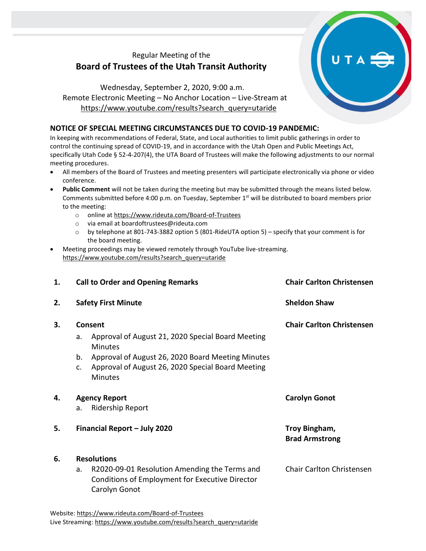## Regular Meeting of the **Board of Trustees of the Utah Transit Authority**

Wednesday, September 2, 2020, 9:00 a.m. Remote Electronic Meeting – No Anchor Location – Live-Stream at [https://www.youtube.com/results?search\\_query=utaride](https://www.youtube.com/results?search_query=utaride)

## **NOTICE OF SPECIAL MEETING CIRCUMSTANCES DUE TO COVID-19 PANDEMIC:**

In keeping with recommendations of Federal, State, and Local authorities to limit public gatherings in order to control the continuing spread of COVID-19, and in accordance with the Utah Open and Public Meetings Act, specifically Utah Code § 52-4-207(4), the UTA Board of Trustees will make the following adjustments to our normal meeting procedures.

- All members of the Board of Trustees and meeting presenters will participate electronically via phone or video conference.
- **Public Comment** will not be taken during the meeting but may be submitted through the means listed below. Comments submitted before 4:00 p.m. on Tuesday, September 1<sup>st</sup> will be distributed to board members prior to the meeting:
	- o online at<https://www.rideuta.com/Board-of-Trustees>
	- o via email at [boardoftrustees@rideuta.com](mailto:boardoftrustees@rideuta.com)
	- o by telephone at 801-743-3882 option 5 (801-RideUTA option 5) specify that your comment is for the board meeting.
- Meeting proceedings may be viewed remotely through YouTube live-streaming. [https://www.youtube.com/results?search\\_query=utaride](https://www.youtube.com/results?search_query=utaride)

| 1. | <b>Call to Order and Opening Remarks</b>                                                                                                                                                                              | <b>Chair Carlton Christensen</b>       |
|----|-----------------------------------------------------------------------------------------------------------------------------------------------------------------------------------------------------------------------|----------------------------------------|
| 2. | <b>Safety First Minute</b>                                                                                                                                                                                            | <b>Sheldon Shaw</b>                    |
| 3. | Consent<br>Approval of August 21, 2020 Special Board Meeting<br>a.<br>Minutes<br>b.<br>Approval of August 26, 2020 Board Meeting Minutes<br>Approval of August 26, 2020 Special Board Meeting<br>c.<br><b>Minutes</b> | <b>Chair Carlton Christensen</b>       |
| 4. | <b>Agency Report</b><br><b>Ridership Report</b><br>a.                                                                                                                                                                 | <b>Carolyn Gonot</b>                   |
| 5. | Financial Report - July 2020                                                                                                                                                                                          | Troy Bingham,<br><b>Brad Armstrong</b> |
| 6. | <b>Resolutions</b><br>R2020-09-01 Resolution Amending the Terms and<br>a.<br><b>Conditions of Employment for Executive Director</b><br>Carolyn Gonot                                                                  | <b>Chair Carlton Christensen</b>       |